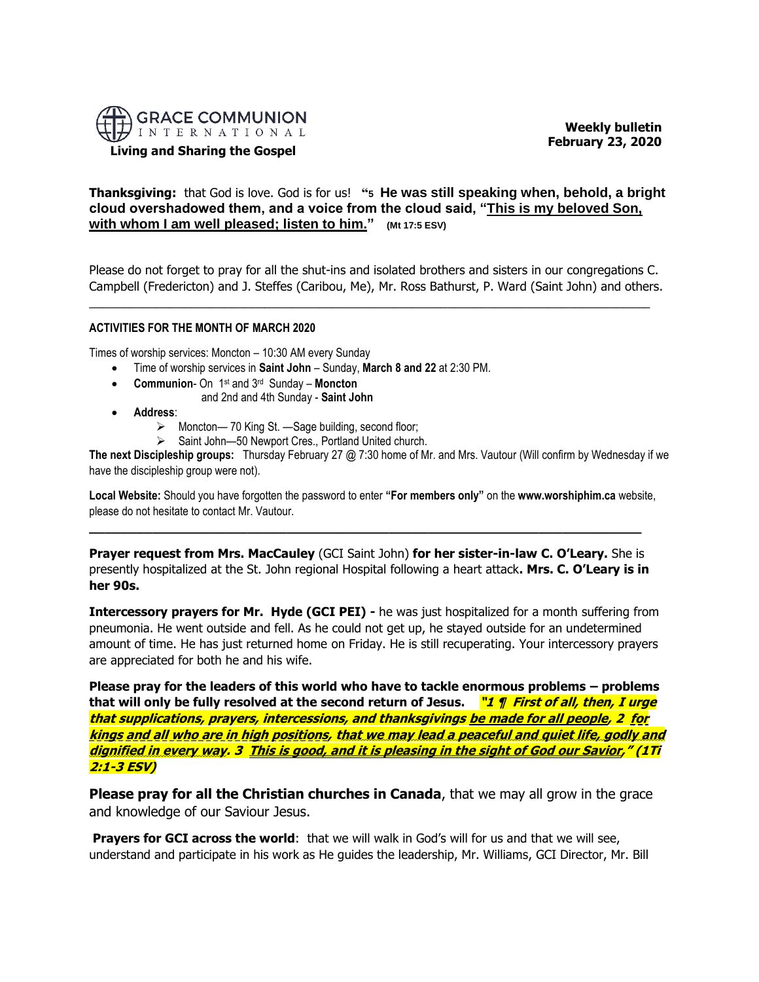

**Living and Sharing the Gospel**

 **Weekly bulletin February 23, 2020** 

# **Thanksgiving:** that God is love. God is for us! **"5 He was still speaking when, behold, a bright cloud overshadowed them, and a voice from the cloud said, "This is my beloved Son, with whom I am well pleased; listen to him." (Mt 17:5 ESV)**

Please do not forget to pray for all the shut-ins and isolated brothers and sisters in our congregations C. Campbell (Fredericton) and J. Steffes (Caribou, Me), Mr. Ross Bathurst, P. Ward (Saint John) and others.

\_\_\_\_\_\_\_\_\_\_\_\_\_\_\_\_\_\_\_\_\_\_\_\_\_\_\_\_\_\_\_\_\_\_\_\_\_\_\_\_\_\_\_\_\_\_\_\_\_\_\_\_\_\_\_\_\_\_\_\_\_\_\_\_\_\_\_\_\_\_\_\_\_\_\_\_\_\_\_\_\_\_\_

#### **ACTIVITIES FOR THE MONTH OF MARCH 2020**

Times of worship services: Moncton – 10:30 AM every Sunday

- Time of worship services in **Saint John** Sunday, **March 8 and 22** at 2:30 PM.
- **Communion** On 1 st and 3 rd Sunday **Moncton**
	- and 2nd and 4th Sunday **Saint John**
- **Address**:
	- ➢ Moncton— 70 King St. —Sage building, second floor;
	- ➢ Saint John—50 Newport Cres., Portland United church.

**The next Discipleship groups:** Thursday February 27 @ 7:30 home of Mr. and Mrs. Vautour (Will confirm by Wednesday if we have the discipleship group were not).

**Local Website:** Should you have forgotten the password to enter **"For members only"** on the **www.worshiphim.ca** website, please do not hesitate to contact Mr. Vautour.

**Prayer request from Mrs. MacCauley** (GCI Saint John) **for her sister-in-law C. O'Leary.** She is presently hospitalized at the St. John regional Hospital following a heart attack**. Mrs. C. O'Leary is in her 90s.**

**\_\_\_\_\_\_\_\_\_\_\_\_\_\_\_\_\_\_\_\_\_\_\_\_\_\_\_\_\_\_\_\_\_\_\_\_\_\_\_\_\_\_\_\_\_\_\_\_\_\_\_\_\_\_\_\_\_\_\_\_\_\_\_\_\_\_\_\_\_\_**

**Intercessory prayers for Mr. Hyde (GCI PEI) -** he was just hospitalized for a month suffering from pneumonia. He went outside and fell. As he could not get up, he stayed outside for an undetermined amount of time. He has just returned home on Friday. He is still recuperating. Your intercessory prayers are appreciated for both he and his wife.

**Please pray for the leaders of this world who have to tackle enormous problems – problems that will only be fully resolved at the second return of Jesus. "1 ¶ First of all, then, I urge that supplications, prayers, intercessions, and thanksgivings be made for all people, 2 for kings and all who are in high positions, that we may lead a peaceful and quiet life, godly and dignified in every way. 3 This is good, and it is pleasing in the sight of God our Savior," (1Ti 2:1-3 ESV)**

**Please pray for all the Christian churches in Canada**, that we may all grow in the grace and knowledge of our Saviour Jesus.

**Prayers for GCI across the world:** that we will walk in God's will for us and that we will see, understand and participate in his work as He guides the leadership, Mr. Williams, GCI Director, Mr. Bill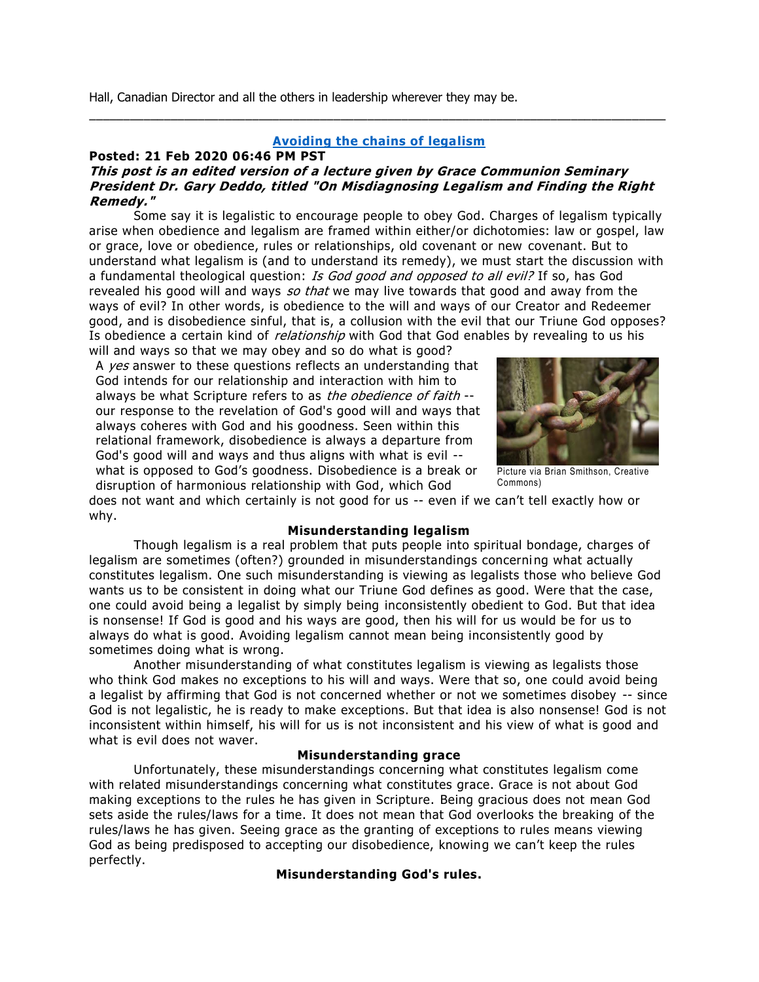Hall, Canadian Director and all the others in leadership wherever they may be.

## **[Avoiding the chains of legalism](https://nam10.safelinks.protection.outlook.com/?url=http:%2F%2Ffeedproxy.google.com%2F~r%2Fgci%2FzGUy%2F~3%2F_gt4xQUzmVw%2Favoiding-chains-of-legalism.html%3Futm_source%3Dfeedburner%26utm_medium%3Demail&data=02%7C01%7C%7C04b45ea736144e6a4cb308d7b77388cb%7C84df9e7fe9f640afb435aaaaaaaaaaaa%7C1%7C0%7C637179579147852411&sdata=I5LbHVnb2%2BcxTbEMa4804OzONX%2Bl6HwmDz%2Bd%2FKugZoA%3D&reserved=0)**

\_\_\_\_\_\_\_\_\_\_\_\_\_\_\_\_\_\_\_\_\_\_\_\_\_\_\_\_\_\_\_\_\_\_\_\_\_\_\_\_\_\_\_\_\_\_\_\_\_\_\_\_\_\_\_\_\_\_\_\_\_\_\_\_\_\_\_\_\_\_\_\_\_\_\_\_\_\_\_\_\_\_\_\_\_

### **Posted: 21 Feb 2020 06:46 PM PST**

# **This post is an edited version of a lecture given by Grace Communion Seminary President Dr. Gary Deddo, titled "On Misdiagnosing Legalism and Finding the Right Remedy."**

Some say it is legalistic to encourage people to obey God. Charges of legalism typically arise when obedience and legalism are framed within either/or dichotomies: law or gospel, law or grace, love or obedience, rules or relationships, old covenant or new covenant. But to understand what legalism is (and to understand its remedy), we must start the discussion with a fundamental theological question: Is God good and opposed to all evil? If so, has God revealed his good will and ways so that we may live towards that good and away from the ways of evil? In other words, is obedience to the will and ways of our Creator and Redeemer good, and is disobedience sinful, that is, a collusion with the evil that our Triune God opposes? Is obedience a certain kind of *relationship* with God that God enables by revealing to us his will and ways so that we may obey and so do what is good?

A yes answer to these questions reflects an understanding that God intends for our relationship and interaction with him to always be what Scripture refers to as the obedience of faith -our response to the revelation of God's good will and ways that always coheres with God and his goodness. Seen within this relational framework, disobedience is always a departure from God's good will and ways and thus aligns with what is evil - what is opposed to God's goodness. Disobedience is a break or disruption of harmonious relationship with God, which God



Picture via Brian Smithson, Creative Commons)

does not want and which certainly is not good for us -- even if we can't tell exactly how or why.

## **Misunderstanding legalism**

Though legalism is a real problem that puts people into spiritual bondage, charges of legalism are sometimes (often?) grounded in misunderstandings concerning what actually constitutes legalism. One such misunderstanding is viewing as legalists those who believe God wants us to be consistent in doing what our Triune God defines as good. Were that the case, one could avoid being a legalist by simply being inconsistently obedient to God. But that idea is nonsense! If God is good and his ways are good, then his will for us would be for us to always do what is good. Avoiding legalism cannot mean being inconsistently good by sometimes doing what is wrong.

Another misunderstanding of what constitutes legalism is viewing as legalists those who think God makes no exceptions to his will and ways. Were that so, one could avoid being a legalist by affirming that God is not concerned whether or not we sometimes disobey -- since God is not legalistic, he is ready to make exceptions. But that idea is also nonsense! God is not inconsistent within himself, his will for us is not inconsistent and his view of what is good and what is evil does not waver.

#### **Misunderstanding grace**

Unfortunately, these misunderstandings concerning what constitutes legalism come with related misunderstandings concerning what constitutes grace. Grace is not about God making exceptions to the rules he has given in Scripture. Being gracious does not mean God sets aside the rules/laws for a time. It does not mean that God overlooks the breaking of the rules/laws he has given. Seeing grace as the granting of exceptions to rules means viewing God as being predisposed to accepting our disobedience, knowing we can't keep the rules perfectly.

## **Misunderstanding God's rules.**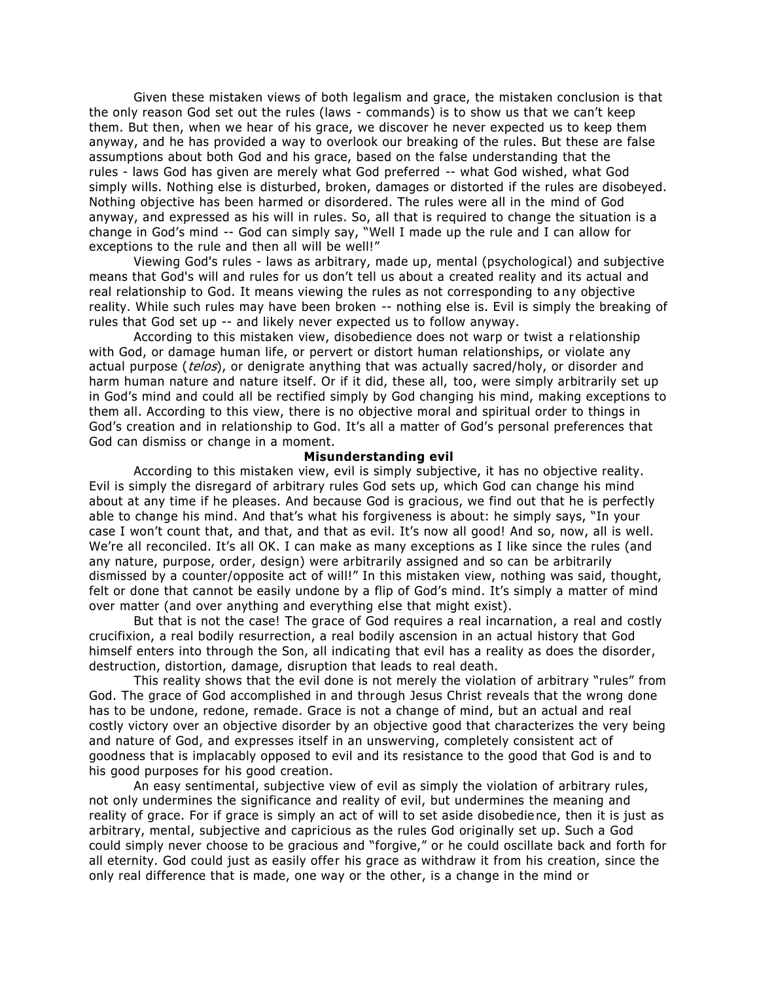Given these mistaken views of both legalism and grace, the mistaken conclusion is that the only reason God set out the rules (laws - commands) is to show us that we can't keep them. But then, when we hear of his grace, we discover he never expected us to keep them anyway, and he has provided a way to overlook our breaking of the rules. But these are false assumptions about both God and his grace, based on the false understanding that the rules - laws God has given are merely what God preferred -- what God wished, what God simply wills. Nothing else is disturbed, broken, damages or distorted if the rules are disobeyed. Nothing objective has been harmed or disordered. The rules were all in the mind of God anyway, and expressed as his will in rules. So, all that is required to change the situation is a change in God's mind -- God can simply say, "Well I made up the rule and I can allow for exceptions to the rule and then all will be well!"

Viewing God's rules - laws as arbitrary, made up, mental (psychological) and subjective means that God's will and rules for us don't tell us about a created reality and its actual and real relationship to God. It means viewing the rules as not corresponding to a ny objective reality. While such rules may have been broken -- nothing else is. Evil is simply the breaking of rules that God set up -- and likely never expected us to follow anyway.

According to this mistaken view, disobedience does not warp or twist a r elationship with God, or damage human life, or pervert or distort human relationships, or violate any actual purpose (telos), or denigrate anything that was actually sacred/holy, or disorder and harm human nature and nature itself. Or if it did, these all, too, were simply arbitrarily set up in God's mind and could all be rectified simply by God changing his mind, making exceptions to them all. According to this view, there is no objective moral and spiritual order to things in God's creation and in relationship to God. It's all a matter of God's personal preferences that God can dismiss or change in a moment.

#### **Misunderstanding evil**

According to this mistaken view, evil is simply subjective, it has no objective reality. Evil is simply the disregard of arbitrary rules God sets up, which God can change his mind about at any time if he pleases. And because God is gracious, we find out that he is perfectly able to change his mind. And that's what his forgiveness is about: he simply says, "In your case I won't count that, and that, and that as evil. It's now all good! And so, now, all is well. We're all reconciled. It's all OK. I can make as many exceptions as I like since the rules (and any nature, purpose, order, design) were arbitrarily assigned and so can be arbitrarily dismissed by a counter/opposite act of will!" In this mistaken view, nothing was said, thought, felt or done that cannot be easily undone by a flip of God's mind. It's simply a matter of mind over matter (and over anything and everything else that might exist).

But that is not the case! The grace of God requires a real incarnation, a real and costly crucifixion, a real bodily resurrection, a real bodily ascension in an actual history that God himself enters into through the Son, all indicating that evil has a reality as does the disorder, destruction, distortion, damage, disruption that leads to real death.

This reality shows that the evil done is not merely the violation of arbitrary "rules" from God. The grace of God accomplished in and through Jesus Christ reveals that the wrong done has to be undone, redone, remade. Grace is not a change of mind, but an actual and real costly victory over an objective disorder by an objective good that characterizes the very being and nature of God, and expresses itself in an unswerving, completely consistent act of goodness that is implacably opposed to evil and its resistance to the good that God is and to his good purposes for his good creation.

An easy sentimental, subjective view of evil as simply the violation of arbitrary rules, not only undermines the significance and reality of evil, but undermines the meaning and reality of grace. For if grace is simply an act of will to set aside disobedie nce, then it is just as arbitrary, mental, subjective and capricious as the rules God originally set up. Such a God could simply never choose to be gracious and "forgive," or he could oscillate back and forth for all eternity. God could just as easily offer his grace as withdraw it from his creation, since the only real difference that is made, one way or the other, is a change in the mind or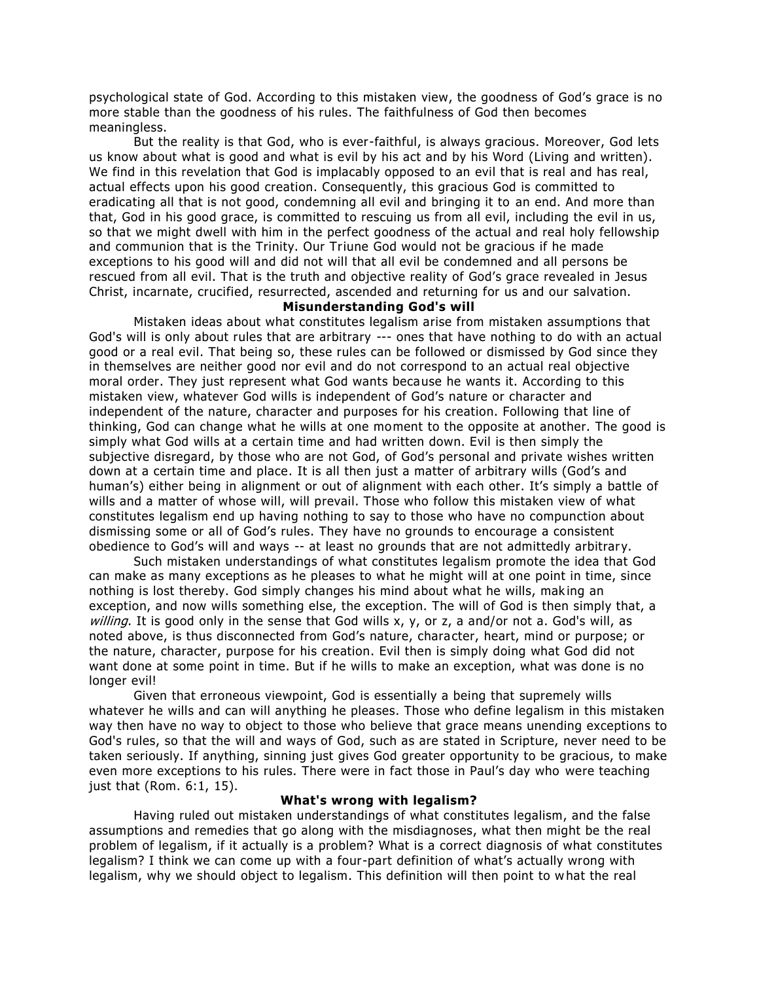psychological state of God. According to this mistaken view, the goodness of God's grace is no more stable than the goodness of his rules. The faithfulness of God then becomes meaningless.

But the reality is that God, who is ever-faithful, is always gracious. Moreover, God lets us know about what is good and what is evil by his act and by his Word (Living and written). We find in this revelation that God is implacably opposed to an evil that is real and has real, actual effects upon his good creation. Consequently, this gracious God is committed to eradicating all that is not good, condemning all evil and bringing it to an end. And more than that, God in his good grace, is committed to rescuing us from all evil, including the evil in us, so that we might dwell with him in the perfect goodness of the actual and real holy fellowship and communion that is the Trinity. Our Triune God would not be gracious if he made exceptions to his good will and did not will that all evil be condemned and all persons be rescued from all evil. That is the truth and objective reality of God's grace revealed in Jesus Christ, incarnate, crucified, resurrected, ascended and returning for us and our salvation.

### **Misunderstanding God's will**

Mistaken ideas about what constitutes legalism arise from mistaken assumptions that God's will is only about rules that are arbitrary --- ones that have nothing to do with an actual good or a real evil. That being so, these rules can be followed or dismissed by God since they in themselves are neither good nor evil and do not correspond to an actual real objective moral order. They just represent what God wants because he wants it. According to this mistaken view, whatever God wills is independent of God's nature or character and independent of the nature, character and purposes for his creation. Following that line of thinking, God can change what he wills at one moment to the opposite at another. The good is simply what God wills at a certain time and had written down. Evil is then simply the subjective disregard, by those who are not God, of God's personal and private wishes written down at a certain time and place. It is all then just a matter of arbitrary wills (God's and human's) either being in alignment or out of alignment with each other. It's simply a battle of wills and a matter of whose will, will prevail. Those who follow this mistaken view of what constitutes legalism end up having nothing to say to those who have no compunction about dismissing some or all of God's rules. They have no grounds to encourage a consistent obedience to God's will and ways -- at least no grounds that are not admittedly arbitrary.

Such mistaken understandings of what constitutes legalism promote the idea that God can make as many exceptions as he pleases to what he might will at one point in time, since nothing is lost thereby. God simply changes his mind about what he wills, mak ing an exception, and now wills something else, the exception. The will of God is then simply that, a willing. It is good only in the sense that God wills x, y, or z, a and/or not a. God's will, as noted above, is thus disconnected from God's nature, character, heart, mind or purpose; or the nature, character, purpose for his creation. Evil then is simply doing what God did not want done at some point in time. But if he wills to make an exception, what was done is no longer evil!

Given that erroneous viewpoint, God is essentially a being that supremely wills whatever he wills and can will anything he pleases. Those who define legalism in this mistaken way then have no way to object to those who believe that grace means unending exceptions to God's rules, so that the will and ways of God, such as are stated in Scripture, never need to be taken seriously. If anything, sinning just gives God greater opportunity to be gracious, to make even more exceptions to his rules. There were in fact those in Paul's day who were teaching just that (Rom. 6:1, 15).

#### **What's wrong with legalism?**

Having ruled out mistaken understandings of what constitutes legalism, and the false assumptions and remedies that go along with the misdiagnoses, what then might be the real problem of legalism, if it actually is a problem? What is a correct diagnosis of what constitutes legalism? I think we can come up with a four-part definition of what's actually wrong with legalism, why we should object to legalism. This definition will then point to w hat the real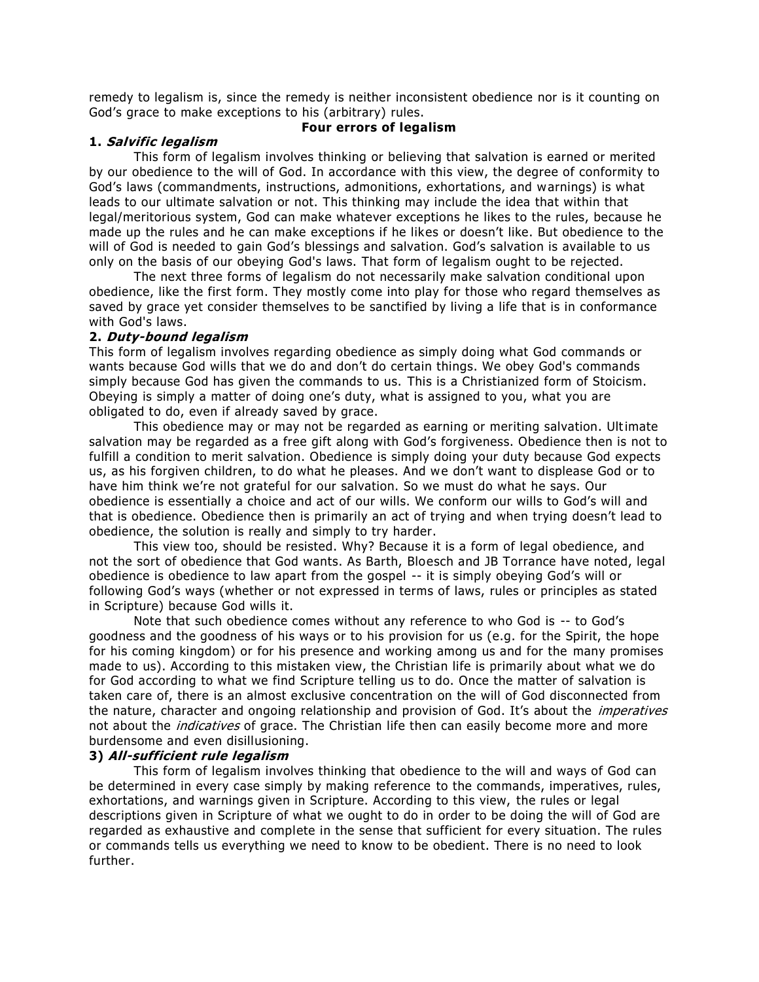remedy to legalism is, since the remedy is neither inconsistent obedience nor is it counting on God's grace to make exceptions to his (arbitrary) rules.

#### **1. Salvific legalism**

## **Four errors of legalism**

This form of legalism involves thinking or believing that salvation is earned or merited by our obedience to the will of God. In accordance with this view, the degree of conformity to God's laws (commandments, instructions, admonitions, exhortations, and warnings) is what leads to our ultimate salvation or not. This thinking may include the idea that within that legal/meritorious system, God can make whatever exceptions he likes to the rules, because he made up the rules and he can make exceptions if he likes or doesn't like. But obedience to the will of God is needed to gain God's blessings and salvation. God's salvation is available to us only on the basis of our obeying God's laws. That form of legalism ought to be rejected.

The next three forms of legalism do not necessarily make salvation conditional upon obedience, like the first form. They mostly come into play for those who regard themselves as saved by grace yet consider themselves to be sanctified by living a life that is in conformance with God's laws.

#### **2. Duty-bound legalism**

This form of legalism involves regarding obedience as simply doing what God commands or wants because God wills that we do and don't do certain things. We obey God's commands simply because God has given the commands to us. This is a Christianized form of Stoicism. Obeying is simply a matter of doing one's duty, what is assigned to you, what you are obligated to do, even if already saved by grace.

This obedience may or may not be regarded as earning or meriting salvation. Ultimate salvation may be regarded as a free gift along with God's forgiveness. Obedience then is not to fulfill a condition to merit salvation. Obedience is simply doing your duty because God expects us, as his forgiven children, to do what he pleases. And we don't want to displease God or to have him think we're not grateful for our salvation. So we must do what he says. Our obedience is essentially a choice and act of our wills. We conform our wills to God's will and that is obedience. Obedience then is primarily an act of trying and when trying doesn't lead to obedience, the solution is really and simply to try harder.

This view too, should be resisted. Why? Because it is a form of legal obedience, and not the sort of obedience that God wants. As Barth, Bloesch and JB Torrance have noted, legal obedience is obedience to law apart from the gospel -- it is simply obeying God's will or following God's ways (whether or not expressed in terms of laws, rules or principles as stated in Scripture) because God wills it.

Note that such obedience comes without any reference to who God is -- to God's goodness and the goodness of his ways or to his provision for us (e.g. for the Spirit, the hope for his coming kingdom) or for his presence and working among us and for the many promises made to us). According to this mistaken view, the Christian life is primarily about what we do for God according to what we find Scripture telling us to do. Once the matter of salvation is taken care of, there is an almost exclusive concentration on the will of God disconnected from the nature, character and ongoing relationship and provision of God. It's about the *imperatives* not about the *indicatives* of grace. The Christian life then can easily become more and more burdensome and even disillusioning.

## **3) All-sufficient rule legalism**

This form of legalism involves thinking that obedience to the will and ways of God can be determined in every case simply by making reference to the commands, imperatives, rules, exhortations, and warnings given in Scripture. According to this view, the rules or legal descriptions given in Scripture of what we ought to do in order to be doing the will of God are regarded as exhaustive and complete in the sense that sufficient for every situation. The rules or commands tells us everything we need to know to be obedient. There is no need to look further.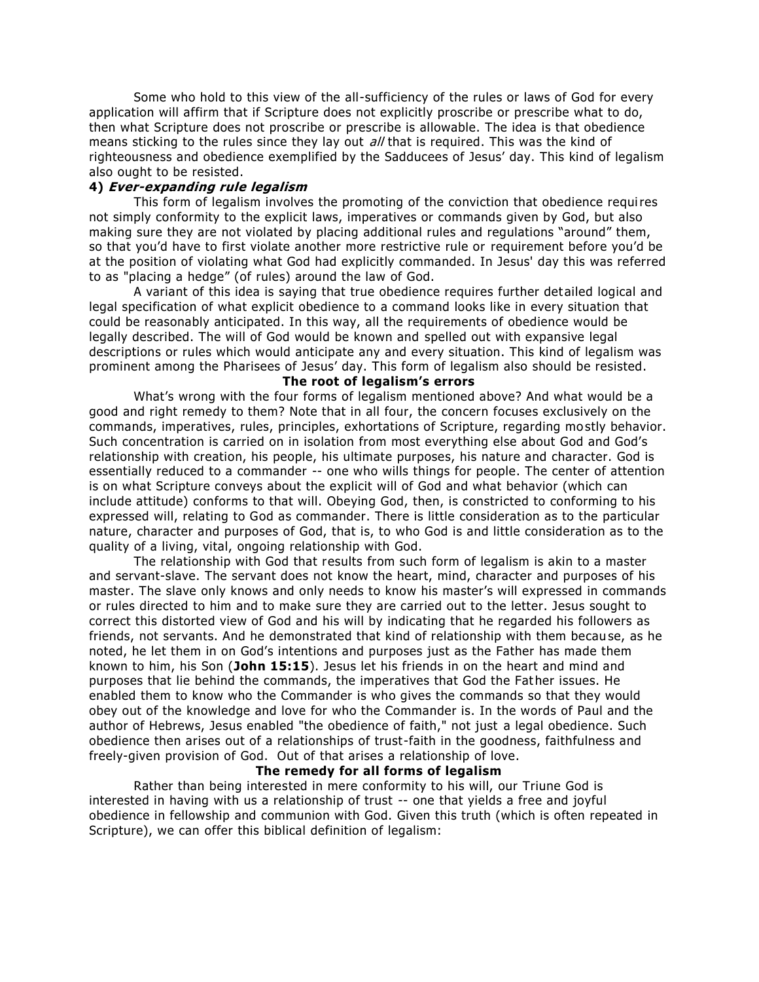Some who hold to this view of the all-sufficiency of the rules or laws of God for every application will affirm that if Scripture does not explicitly proscribe or prescribe what to do, then what Scripture does not proscribe or prescribe is allowable. The idea is that obedience means sticking to the rules since they lay out all that is required. This was the kind of righteousness and obedience exemplified by the Sadducees of Jesus' day. This kind of legalism also ought to be resisted.

#### **4) Ever-expanding rule legalism**

This form of legalism involves the promoting of the conviction that obedience requires not simply conformity to the explicit laws, imperatives or commands given by God, but also making sure they are not violated by placing additional rules and regulations "around" them, so that you'd have to first violate another more restrictive rule or requirement before you'd be at the position of violating what God had explicitly commanded. In Jesus' day this was referred to as "placing a hedge" (of rules) around the law of God.

A variant of this idea is saying that true obedience requires further det ailed logical and legal specification of what explicit obedience to a command looks like in every situation that could be reasonably anticipated. In this way, all the requirements of obedience would be legally described. The will of God would be known and spelled out with expansive legal descriptions or rules which would anticipate any and every situation. This kind of legalism was prominent among the Pharisees of Jesus' day. This form of legalism also should be resisted.

# **The root of legalism's errors**

What's wrong with the four forms of legalism mentioned above? And what would be a good and right remedy to them? Note that in all four, the concern focuses exclusively on the commands, imperatives, rules, principles, exhortations of Scripture, regarding mo stly behavior. Such concentration is carried on in isolation from most everything else about God and God's relationship with creation, his people, his ultimate purposes, his nature and character. God is essentially reduced to a commander -- one who wills things for people. The center of attention is on what Scripture conveys about the explicit will of God and what behavior (which can include attitude) conforms to that will. Obeying God, then, is constricted to conforming to his expressed will, relating to God as commander. There is little consideration as to the particular nature, character and purposes of God, that is, to who God is and little consideration as to the quality of a living, vital, ongoing relationship with God.

The relationship with God that results from such form of legalism is akin to a master and servant-slave. The servant does not know the heart, mind, character and purposes of his master. The slave only knows and only needs to know his master's will expressed in commands or rules directed to him and to make sure they are carried out to the letter. Jesus sought to correct this distorted view of God and his will by indicating that he regarded his followers as friends, not servants. And he demonstrated that kind of relationship with them becau se, as he noted, he let them in on God's intentions and purposes just as the Father has made them known to him, his Son (**John 15:15**). Jesus let his friends in on the heart and mind and purposes that lie behind the commands, the imperatives that God the Father issues. He enabled them to know who the Commander is who gives the commands so that they would obey out of the knowledge and love for who the Commander is. In the words of Paul and the author of Hebrews, Jesus enabled "the obedience of faith," not just a legal obedience. Such obedience then arises out of a relationships of trust-faith in the goodness, faithfulness and freely-given provision of God. Out of that arises a relationship of love.

# **The remedy for all forms of legalism**

Rather than being interested in mere conformity to his will, our Triune God is interested in having with us a relationship of trust -- one that yields a free and joyful obedience in fellowship and communion with God. Given this truth (which is often repeated in Scripture), we can offer this biblical definition of legalism: